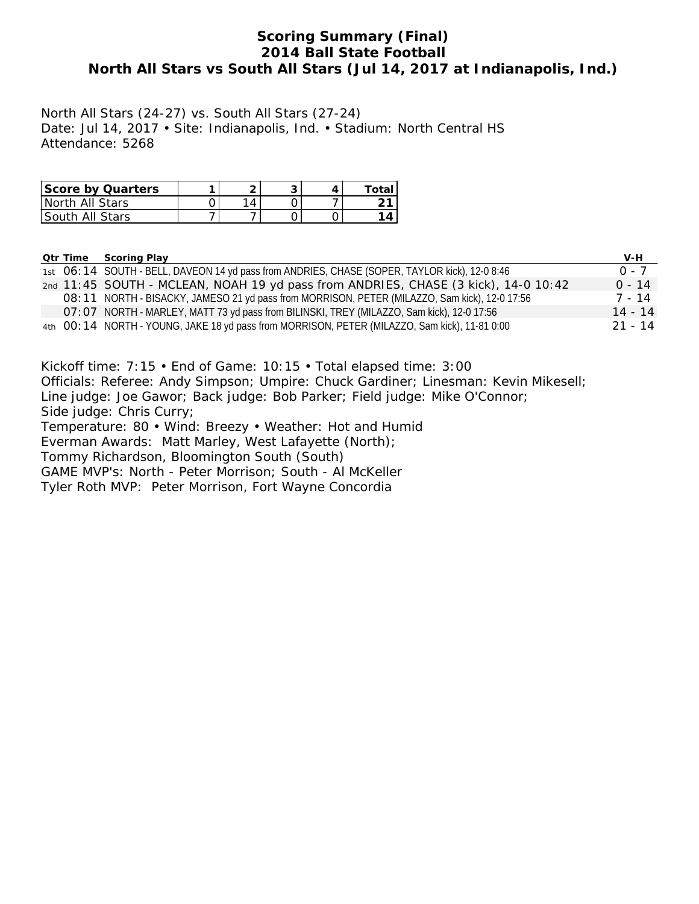### **Scoring Summary (Final) 2014 Ball State Football North All Stars vs South All Stars (Jul 14, 2017 at Indianapolis, Ind.)**

North All Stars (24-27) vs. South All Stars (27-24) Date: Jul 14, 2017 • Site: Indianapolis, Ind. • Stadium: North Central HS Attendance: 5268

| <b>Score by Quarters</b> | ◠         |  | Total |
|--------------------------|-----------|--|-------|
| I North All Stars        | $\Lambda$ |  |       |
| <b>South All Stars</b>   |           |  |       |

| <b>Qtr Time</b> | <b>Scoring Play</b>                                                                            | V-H       |
|-----------------|------------------------------------------------------------------------------------------------|-----------|
|                 | 1st O6: 14 SOUTH - BELL, DAVEON 14 yd pass from ANDRIES, CHASE (SOPER, TAYLOR kick), 12-0 8:46 | $0 - 7$   |
|                 | 2nd 11:45 SOUTH - MCLEAN, NOAH 19 yd pass from ANDRIES, CHASE (3 kick), 14-0 10:42             | $0 - 14$  |
|                 | O8: 11 NORTH - BISACKY, JAMESO 21 yd pass from MORRISON, PETER (MILAZZO, Sam kick), 12-0 17:56 | 7 - 14    |
|                 | O7: O7 NORTH - MARLEY, MATT 73 yd pass from BILINSKI, TREY (MILAZZO, Sam kick), 12-0 17:56     | $14 - 14$ |
|                 | 4th OO: 14 NORTH - YOUNG, JAKE 18 yd pass from MORRISON, PETER (MILAZZO, Sam kick), 11-81 0:00 | $21 - 14$ |

Kickoff time: 7:15 • End of Game: 10:15 • Total elapsed time: 3:00 Officials: Referee: Andy Simpson; Umpire: Chuck Gardiner; Linesman: Kevin Mikesell; Line judge: Joe Gawor; Back judge: Bob Parker; Field judge: Mike O'Connor; Side judge: Chris Curry; Temperature: 80 • Wind: Breezy • Weather: Hot and Humid Everman Awards: Matt Marley, West Lafayette (North); Tommy Richardson, Bloomington South (South) GAME MVP's: North - Peter Morrison; South - Al McKeller

Tyler Roth MVP: Peter Morrison, Fort Wayne Concordia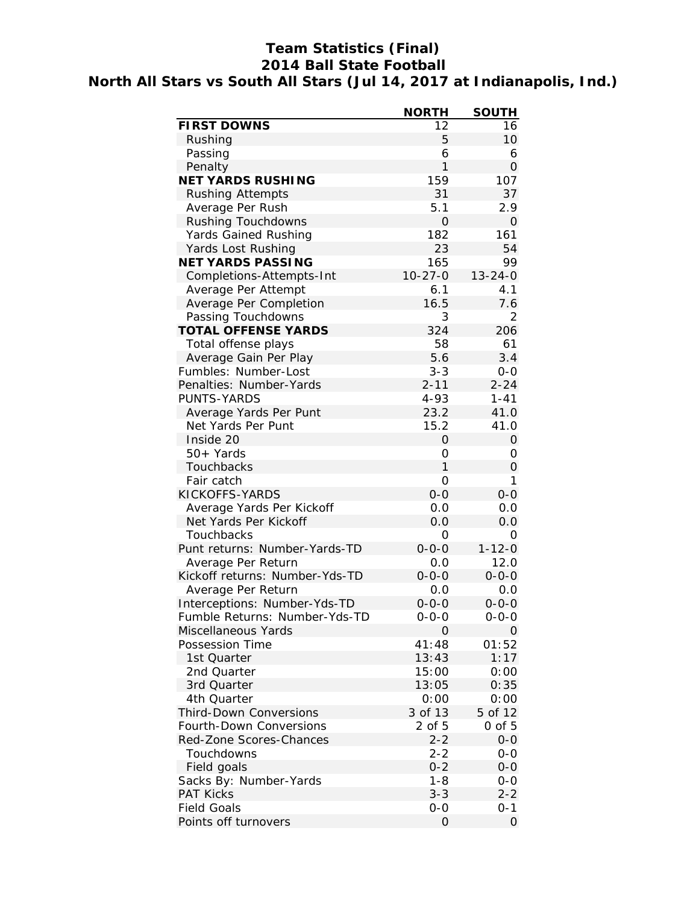# **Team Statistics (Final) 2014 Ball State Football North All Stars vs South All Stars (Jul 14, 2017 at Indianapolis, Ind.)**

|                                | <b>NORTH</b>       | <b>SOUTH</b>  |
|--------------------------------|--------------------|---------------|
| <b>FIRST DOWNS</b>             | 12                 | 16            |
| Rushing                        | 5                  | 10            |
| Passing                        | 6                  | 6             |
| Penalty                        | 1                  | 0             |
| <b>NET YARDS RUSHING</b>       | 159                | 107           |
| <b>Rushing Attempts</b>        | 31                 | 37            |
| Average Per Rush               | 5.1                | 2.9           |
| Rushing Touchdowns             | 0                  | O             |
| <b>Yards Gained Rushing</b>    | 182                | 161           |
| Yards Lost Rushing             | 23                 | 54            |
| <b>NET YARDS PASSING</b>       | 165                | 99            |
| Completions-Attempts-Int       | $10 - 27 - 0$      | $13 - 24 - 0$ |
| Average Per Attempt            | 6.1                | 4.1           |
| Average Per Completion         | 16.5               | 7.6           |
| Passing Touchdowns             | 3                  | 2             |
| <b>TOTAL OFFENSE YARDS</b>     | 324                | 206           |
| Total offense plays            | 58                 | 61            |
| Average Gain Per Play          | 5.6                | 3.4           |
| Fumbles: Number-Lost           | $3 - 3$            | $0-0$         |
| Penalties: Number-Yards        | $2 - 11$           | $2 - 24$      |
| <b>PUNTS-YARDS</b>             | $4 - 93$           | $1 - 41$      |
| Average Yards Per Punt         | 23.2               | 41.0          |
| Net Yards Per Punt             | 15.2               | 41.0          |
| Inside 20                      | 0                  | 0             |
| $50+Yards$                     | 0                  | 0             |
| Touchbacks                     | 1                  | 0             |
| Fair catch                     | 0                  | 1             |
| KICKOFFS-YARDS                 | $0-0$              | $0-0$         |
| Average Yards Per Kickoff      | 0.0                | 0.0           |
|                                |                    |               |
| Net Yards Per Kickoff          | 0.0                | 0.0           |
| Touchbacks                     | 0                  | 0             |
| Punt returns: Number-Yards-TD  | $0 - 0 - 0$<br>0.0 | $1 - 12 - 0$  |
| Average Per Return             |                    | 12.0          |
| Kickoff returns: Number-Yds-TD | $0 - 0 - 0$        | $0 - 0 - 0$   |
| Average Per Return             | 0.0                | 0.0           |
| Interceptions: Number-Yds-TD   | $0 - 0 - 0$        | $0 - 0 - 0$   |
| Fumble Returns: Number-Yds-TD  | 0-0-0              | 0-0-0         |
| Miscellaneous Yards            | 0                  | 0             |
| Possession Time                | 41:48              | 01:52         |
| 1st Quarter                    | 13:43              | 1:17          |
| 2nd Quarter                    | 15:00              | 0:00          |
| 3rd Quarter                    | 13:05              | 0:35          |
| 4th Quarter                    | 0:00               | 0:00          |
| <b>Third-Down Conversions</b>  | 3 of 13            | 5 of 12       |
| Fourth-Down Conversions        | 2 of 5             | 0 of 5        |
| Red-Zone Scores-Chances        | $2 - 2$            | $0 - 0$       |
| Touchdowns                     | $2 - 2$            | $0 - 0$       |
| Field goals                    | $0 - 2$            | $O-O$         |
| Sacks By: Number-Yards         | $1 - 8$            | 0-0           |
| <b>PAT Kicks</b>               | $3 - 3$            | $2 - 2$       |
| <b>Field Goals</b>             | $0-0$              | 0-1           |
| Points off turnovers           | 0                  | 0             |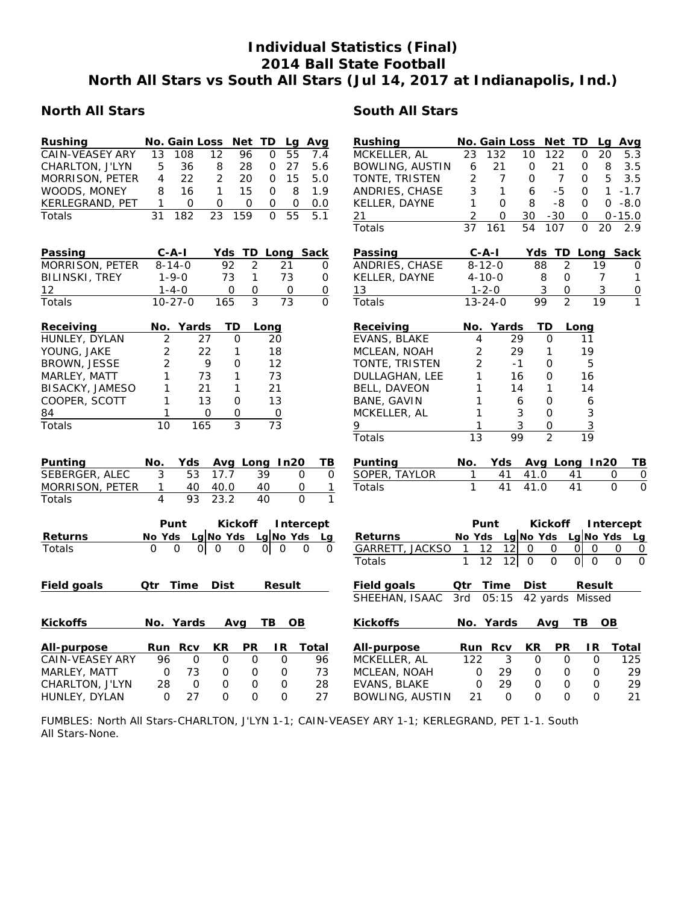# **Individual Statistics (Final) 2014 Ball State Football North All Stars vs South All Stars (Jul 14, 2017 at Indianapolis, Ind.)**

#### **North All Stars South All Stars**

| Rushing                |                | No. Gain Loss |                | Net TD         |                 | Lq            | Avg                      | Rushing                |                 | No. Gain Loss              |                | Net TD            |                 |          | Lg Avg                    |
|------------------------|----------------|---------------|----------------|----------------|-----------------|---------------|--------------------------|------------------------|-----------------|----------------------------|----------------|-------------------|-----------------|----------|---------------------------|
| <b>CAIN-VEASEY ARY</b> | 13             | 108           | 12             | 96             | 0               | 55            | 7.4                      | MCKELLER, AL           | 23              | 132                        | 10             | 122               | 0               | 20       | 5.3                       |
| CHARLTON, J'LYN        | 5              | 36            | 8              | 28             | 0               | 27            | 5.6                      | <b>BOWLING, AUSTIN</b> | 6               | 21                         | $\mathbf 0$    | 21                | 0               | 8        | 3.5                       |
| MORRISON, PETER        | 4              | 22            | $\overline{2}$ | 20             | 0               | 15            | 5.0                      | TONTE, TRISTEN         | 2               | $\overline{7}$             | $\Omega$       | $\overline{7}$    | O               | 5        | 3.5                       |
| WOODS, MONEY           | 8              | 16            | $\mathbf{1}$   | 15             | 0               | 8             | 1.9                      | ANDRIES, CHASE         | 3               | $\mathbf{1}$               | 6              | $-5$              | 0               |          | $1 - 1.7$                 |
| KERLEGRAND, PET        | $\mathbf{1}$   | 0             | 0              | 0              | 0               | 0             | 0.0                      | KELLER, DAYNE          | 1               | $\mathbf{O}$               | 8              | $-8$              | $\mathbf 0$     |          | $0 - 8.0$                 |
| Totals                 | 31             | 182           | 23             | 159            | $\Omega$        | 55            | 5.1                      | 21                     | 2               | $\mathbf{O}$               | 30             | $-30$             | $\mathbf 0$     |          | $0 - 15.0$                |
|                        |                |               |                |                |                 |               |                          | Totals                 | 37              | 161                        | 54             | 107               | $\Omega$        | 20       | 2.9                       |
|                        |                |               |                |                |                 |               |                          |                        |                 |                            |                |                   |                 |          |                           |
| Passing                |                | $C - A - I$   |                |                |                 |               | Yds TD Long Sack         | Passing                |                 | $C - A - I$                |                |                   |                 |          | Yds TD Long Sack          |
| MORRISON, PETER        |                | $8 - 14 - 0$  | 92             | 2              |                 | 21            | 0                        | ANDRIES, CHASE         |                 | $8 - 12 - 0$               | 88             | $\overline{2}$    |                 | 19       | $\Omega$                  |
| <b>BILINSKI, TREY</b>  |                | $1 - 9 - 0$   | 73             | $\mathbf{1}$   |                 | 73            | 0                        | KELLER, DAYNE          |                 | $4 - 10 - 0$               |                | 8<br>0            |                 | 7        | 1                         |
| 12                     |                | $1 - 4 - 0$   | 0              | $\mathbf{O}$   |                 | 0             | 0                        | 13                     |                 | $1 - 2 - 0$                |                | 3<br>$\mathbf{O}$ |                 | 3        | $\overline{0}$            |
| Totals                 |                | $10 - 27 - 0$ | 165            | 3              |                 | 73            | $\Omega$                 | Totals                 |                 | $13 - 24 - 0$              | 99             | $\overline{2}$    |                 | 19       | $\mathbf{1}$              |
|                        |                |               |                |                |                 |               |                          |                        |                 |                            |                |                   |                 |          |                           |
| Receiving              |                | No. Yards     | TD             |                | Long            |               |                          | Receiving              |                 | No. Yards                  |                | TD                | Long            |          |                           |
| HUNLEY, DYLAN          | 2              |               | 27             | O              | 20              |               |                          | EVANS, BLAKE           | 4               |                            | 29             | 0                 | 11              |          |                           |
| YOUNG, JAKE            | $\overline{c}$ |               | 22             | 1              | 18              |               |                          | MCLEAN, NOAH           | 2               |                            | 29             | 1                 | 19              |          |                           |
| BROWN, JESSE           | $\overline{2}$ |               | 9              | O              | 12              |               |                          | TONTE, TRISTEN         | 2               |                            | $-1$           | 0                 | 5               |          |                           |
| MARLEY, MATT           | 1              |               | 73             | $\mathbf{1}$   | 73              |               |                          | DULLAGHAN, LEE         | 1               |                            | 16             | 0                 | 16              |          |                           |
| BISACKY, JAMESO        | 1              |               | 21             | $\mathbf{1}$   | 21              |               |                          | <b>BELL, DAVEON</b>    | 1               |                            | 14             | 1                 | 14              |          |                           |
| COOPER, SCOTT          | 1              |               | 13             | 0              | 13              |               |                          | BANE, GAVIN            | 1               |                            | 6              | 0                 | 6               |          |                           |
| 84                     | 1              |               | 0              | 0              | $\mbox{O}$      |               |                          | MCKELLER, AL           | 1               |                            | 3              | 0                 | 3               |          |                           |
| Totals                 | 10             | 165           |                | $\overline{3}$ | $\overline{73}$ |               |                          | 9                      | 1               |                            | 3              | 0                 | $\overline{3}$  |          |                           |
|                        |                |               |                |                |                 |               |                          | Totals                 | $\overline{13}$ |                            | 99             | $\overline{2}$    | $\overline{19}$ |          |                           |
|                        |                |               |                |                |                 |               |                          |                        |                 |                            |                |                   |                 |          |                           |
| Punting                | No.            | Yds           |                |                | Avg Long In20   |               | ΤВ                       | Punting                | No.             | Yds                        |                | Avg Long In20     |                 |          | TВ                        |
| SEBERGER, ALEC         | 3              | 53            | 17.7           |                | 39              |               | 0<br>0                   | SOPER, TAYLOR          | 1               | 41                         | 41.0           |                   | 41              | 0        | $\overline{0}$            |
| MORRISON, PETER        | 1              | 40            | 40.0           |                | 40              |               | 0<br>1                   | Totals                 | $\mathbf{1}$    | 41                         | 41.0           |                   | 41              | $\Omega$ | $\Omega$                  |
| Totals                 | $\overline{4}$ | 93            | 23.2           |                | 40              |               | $\Omega$<br>$\mathbf{1}$ |                        |                 |                            |                |                   |                 |          |                           |
|                        |                | Punt          |                | <b>Kickoff</b> |                 |               | Intercept                |                        |                 | Punt                       |                | <b>Kickoff</b>    |                 |          | Intercept                 |
| <b>Returns</b>         | No Yds         |               | Lg No Yds      |                | Lg No Yds       |               | Lg                       | <b>Returns</b>         |                 | No Yds Lg No Yds Lg No Yds |                |                   |                 |          | Lg                        |
| Totals                 | 0              | 0<br>O.       | 0              | 0              | ΟI              | $\Omega$      | 0<br>0                   | GARRETT, JACKSO        | $\mathbf{1}$    | 12<br>12                   | 0              | $\mathbf{O}$      | $\Omega$<br>0   |          | 0                         |
|                        |                |               |                |                |                 |               |                          | Totals                 | 1               | 12<br>12                   | $\overline{0}$ | $\mathbf 0$       | $ 0 $ 0         |          | 0<br>$\Omega$<br>$\Omega$ |
|                        |                |               |                |                |                 |               |                          |                        |                 |                            |                |                   |                 |          |                           |
| <b>Field goals</b>     |                | Qtr Time      | <b>Dist</b>    |                |                 | <b>Result</b> |                          | <b>Field goals</b>     | Qtr             | Time                       | <b>Dist</b>    |                   |                 | Result   |                           |
|                        |                |               |                |                |                 |               |                          | SHEEHAN, ISAAC         | 3rd             | 05:15                      |                | 42 yards Missed   |                 |          |                           |
|                        |                |               |                |                |                 |               |                          |                        |                 |                            |                |                   |                 |          |                           |
| <b>Kickoffs</b>        |                | No. Yards     |                | Avg            | TB              | OВ            |                          | <b>Kickoffs</b>        |                 | No. Yards                  |                | Avg               | TB .            | OВ       |                           |
|                        |                |               |                |                |                 |               |                          |                        |                 |                            |                |                   |                 |          |                           |
| All-purpose            | Run            | <b>Rcv</b>    | <b>KR</b>      | PR             |                 | IR.           | <b>Total</b>             | All-purpose            |                 | Run Rcv                    | <b>KR</b>      | <b>PR</b>         | IR.             |          | Total                     |
| <b>CAIN-VEASEY ARY</b> | 96             | 0             | 0              | 0              |                 | O             | 96                       | MCKELLER, AL           | 122             | 3                          | $\mathbf 0$    | 0                 |                 | 0        | 125                       |
| MARLEY, MATT           | $\mathsf O$    | 73            | 0              | 0              |                 | $\mathbf 0$   | 73                       | MCLEAN, NOAH           | 0               | 29                         | 0              | 0                 |                 | 0        | 29                        |
| CHARLTON, J'LYN        | 28             | 0             | 0              | 0              |                 | 0             | 28                       | EVANS, BLAKE           | $\Omega$        | 29                         | O              | 0                 |                 | 0        | 29                        |
| HUNLEY, DYLAN          | $\Omega$       | 27            | $\Omega$       | $\Omega$       |                 | $\Omega$      | 27                       | <b>BOWLING, AUSTIN</b> | 21              | $\Omega$                   | $\Omega$       | 0                 |                 | $\Omega$ | 21                        |

FUMBLES: North All Stars-CHARLTON, J'LYN 1-1; CAIN-VEASEY ARY 1-1; KERLEGRAND, PET 1-1. South All Stars-None.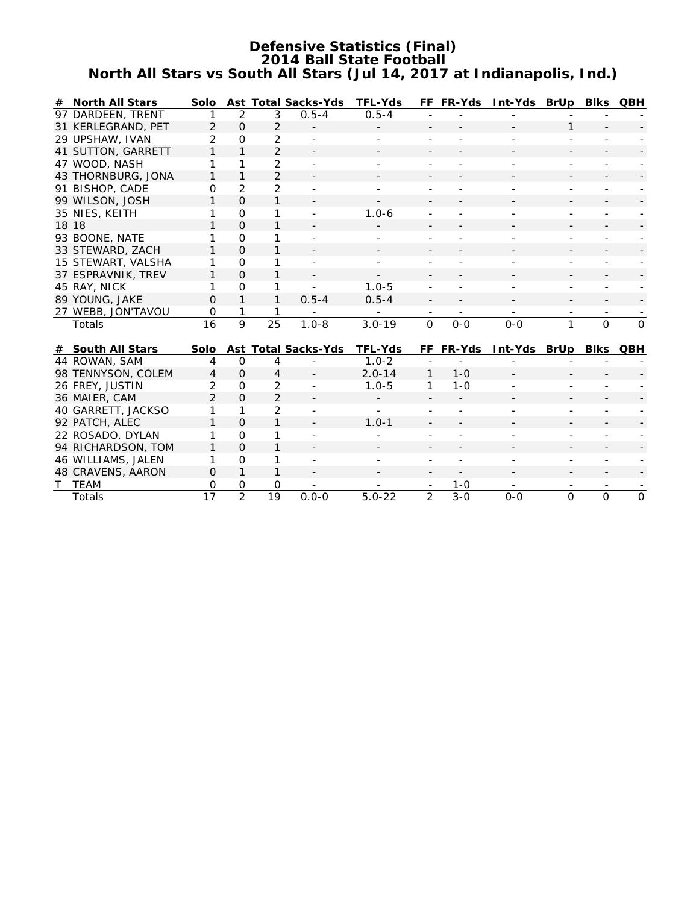#### **Defensive Statistics (Final) 2014 Ball State Football North All Stars vs South All Stars (Jul 14, 2017 at Indianapolis, Ind.)**

|   | # North All Stars  |                 |                |                 | Solo Ast Total Sacks-Yds   | <b>TFL-Yds</b> |              | FF FR-Yds     | Int-Yds BrUp Blks QBH |              |                |              |
|---|--------------------|-----------------|----------------|-----------------|----------------------------|----------------|--------------|---------------|-----------------------|--------------|----------------|--------------|
|   | 97 DARDEEN, TRENT  |                 | 2              | 3               | $0.5 - 4$                  | $0.5 - 4$      |              |               |                       |              |                |              |
|   | 31 KERLEGRAND, PET | $\overline{2}$  | $\Omega$       | $\overline{2}$  |                            |                |              |               |                       | 1            |                |              |
|   | 29 UPSHAW, IVAN    | $\overline{2}$  | $\Omega$       | $\overline{2}$  |                            |                |              |               |                       |              |                |              |
|   | 41 SUTTON, GARRETT | 1               | $\mathbf{1}$   | 2               |                            |                |              |               |                       |              |                |              |
|   | 47 WOOD, NASH      | 1               | 1              | $\overline{2}$  |                            |                |              |               |                       |              |                |              |
|   | 43 THORNBURG, JONA | 1               | 1              | $\overline{2}$  |                            |                |              |               |                       |              |                |              |
|   | 91 BISHOP, CADE    | $\Omega$        | $\overline{2}$ | $\overline{2}$  |                            |                |              |               |                       |              |                |              |
|   | 99 WILSON, JOSH    | 1               | $\Omega$       | $\mathbf{1}$    |                            |                |              |               |                       |              |                |              |
|   | 35 NIES, KEITH     | 1               | $\mathbf 0$    | 1               |                            | $1.0 - 6$      |              |               |                       |              |                |              |
|   | 18 18              | 1               | $\Omega$       | 1               |                            |                |              |               |                       |              |                |              |
|   | 93 BOONE, NATE     | 1               | $\Omega$       | 1               |                            |                |              |               |                       |              |                |              |
|   | 33 STEWARD, ZACH   | 1               | $\Omega$       | 1               |                            |                |              |               |                       |              |                |              |
|   | 15 STEWART, VALSHA | 1               | $\Omega$       | 1               |                            |                |              |               |                       |              |                |              |
|   | 37 ESPRAVNIK, TREV | 1               | $\Omega$       | 1               |                            |                |              |               |                       |              |                |              |
|   | 45 RAY, NICK       | 1               | $\Omega$       | 1               |                            | $1.0 - 5$      |              |               |                       |              |                |              |
|   | 89 YOUNG, JAKE     | $\Omega$        | $\mathbf{1}$   | $\mathbf{1}$    | $0.5 - 4$                  | $0.5 - 4$      |              |               |                       |              |                |              |
|   | 27 WEBB, JON'TAVOU | 0               | 1              | 1               |                            |                |              |               |                       |              |                |              |
|   | Totals             | 16              | 9              | 25              | $1.0 - 8$                  | $3.0 - 19$     | $\mathbf{O}$ | $O-O$         | $O-O$                 | $\mathbf{1}$ | $\mathbf{O}$   | $\Omega$     |
|   |                    |                 |                |                 |                            |                |              |               |                       |              |                |              |
|   | # South All Stars  | Solo            |                |                 | <b>Ast Total Sacks-Yds</b> | <b>TFL-Yds</b> | FF.          | <b>FR-Yds</b> | Int-Yds BrUp Blks     |              |                | QBH          |
|   | 44 ROWAN, SAM      | 4               | $\Omega$       | 4               |                            | $1.0 - 2$      |              |               |                       |              |                |              |
|   | 98 TENNYSON, COLEM | 4               | $\Omega$       | 4               |                            | $2.0 - 14$     | 1            | $1 - 0$       |                       |              |                |              |
|   | 26 FREY, JUSTIN    | $\overline{2}$  | $\Omega$       | $\overline{2}$  |                            | $1.0 - 5$      | 1            | $1 - 0$       |                       |              |                |              |
|   | 36 MAIER, CAM      | $\mathfrak{D}$  | $\Omega$       | $\overline{2}$  |                            |                |              |               |                       |              |                |              |
|   | 40 GARRETT, JACKSO | 1               | 1              | 2               |                            |                |              |               |                       |              |                |              |
|   | 92 PATCH, ALEC     | 1               | $\Omega$       | 1               |                            | $1.0 - 1$      |              |               |                       |              |                |              |
|   | 22 ROSADO, DYLAN   | 1               | $\Omega$       | 1               |                            |                |              |               |                       |              |                |              |
|   | 94 RICHARDSON, TOM | 1               | $\Omega$       | 1               |                            |                |              |               |                       |              |                |              |
|   | 46 WILLIAMS, JALEN | 1               | $\Omega$       | 1               |                            |                |              |               |                       |              |                |              |
|   | 48 CRAVENS, AARON  | 0               | $\mathbf{1}$   | 1               |                            |                |              |               |                       |              |                |              |
| T | TEAM               | 0               | 0              | 0               |                            |                |              | $1 - 0$       |                       |              |                |              |
|   | Totals             | $\overline{17}$ | $\overline{2}$ | $\overline{19}$ | $0.0 - 0$                  | $5.0 - 22$     | 2            | $3 - 0$       | $O - O$               | $\Omega$     | $\overline{O}$ | $\mathbf{O}$ |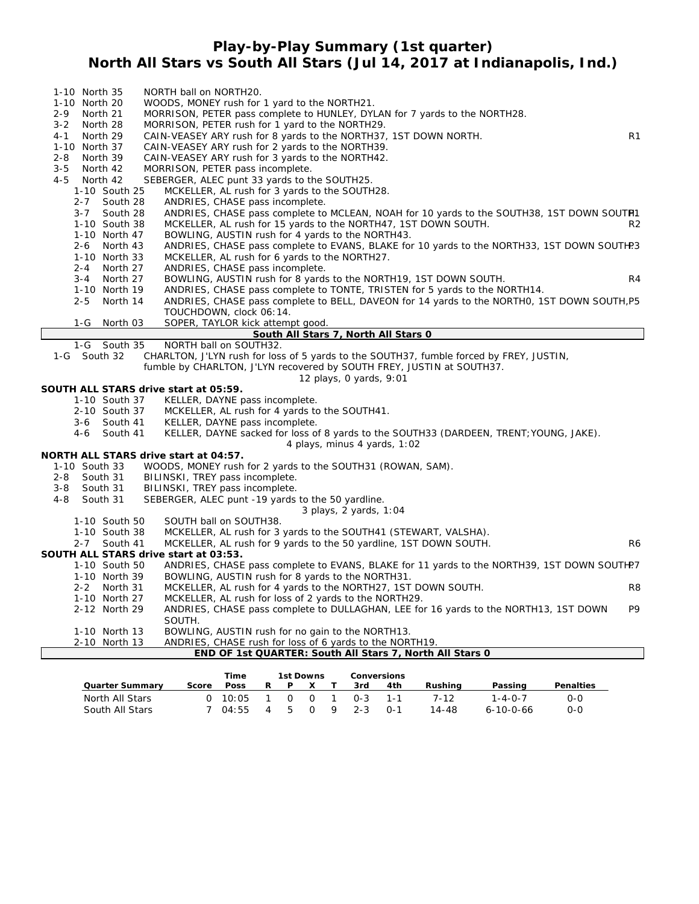#### **Play-by-Play Summary (1st quarter) North All Stars vs South All Stars (Jul 14, 2017 at Indianapolis, Ind.)**

| 1-10 North 35       | NORTH ball on NORTH20.                                                                      |
|---------------------|---------------------------------------------------------------------------------------------|
| 1-10 North 20       | WOODS, MONEY rush for 1 yard to the NORTH21.                                                |
| $2 - 9$<br>North 21 | MORRISON, PETER pass complete to HUNLEY, DYLAN for 7 yards to the NORTH28.                  |
| $3 - 2$<br>North 28 | MORRISON, PETER rush for 1 yard to the NORTH29.                                             |
| $4 - 1$<br>North 29 | R1<br>CAIN-VEASEY ARY rush for 8 yards to the NORTH37, 1ST DOWN NORTH.                      |
| 1-10 North 37       | CAIN-VEASEY ARY rush for 2 yards to the NORTH39.                                            |
| $2 - 8$<br>North 39 | CAIN-VEASEY ARY rush for 3 yards to the NORTH42.                                            |
| $3 - 5$<br>North 42 | MORRISON, PETER pass incomplete.                                                            |
| 4-5<br>North 42     | SEBERGER, ALEC punt 33 yards to the SOUTH25.                                                |
| 1-10 South 25       | MCKELLER, AL rush for 3 yards to the SOUTH28.                                               |
| 2-7 South 28        | ANDRIES, CHASE pass incomplete.                                                             |
| $3 - 7$<br>South 28 | ANDRIES, CHASE pass complete to MCLEAN, NOAH for 10 yards to the SOUTH38, 1ST DOWN SOUTH1   |
| 1-10 South 38       | MCKELLER, AL rush for 15 yards to the NORTH47, 1ST DOWN SOUTH.<br>R <sub>2</sub>            |
| 1-10 North 47       | BOWLING, AUSTIN rush for 4 yards to the NORTH43.                                            |
| $2 - 6$<br>North 43 | ANDRIES, CHASE pass complete to EVANS, BLAKE for 10 yards to the NORTH33, 1ST DOWN SOUTH?3  |
| 1-10 North 33       | MCKELLER, AL rush for 6 yards to the NORTH27.                                               |
| $2 - 4$<br>North 27 | ANDRIES, CHASE pass incomplete.                                                             |
| $3 - 4$<br>North 27 | BOWLING, AUSTIN rush for 8 yards to the NORTH19, 1ST DOWN SOUTH.<br>R <sub>4</sub>          |
| 1-10 North 19       | ANDRIES, CHASE pass complete to TONTE, TRISTEN for 5 yards to the NORTH14.                  |
| $2 - 5$<br>North 14 | ANDRIES, CHASE pass complete to BELL, DAVEON for 14 yards to the NORTHO, 1ST DOWN SOUTH, P5 |
|                     | TOUCHDOWN, clock 06:14.                                                                     |
| $1-G$<br>North 03   | SOPER, TAYLOR kick attempt good.                                                            |
|                     | South All Stars 7, North All Stars 0                                                        |
| 1-G South 35        | NORTH ball on SOUTH32.                                                                      |
| 1-G South 32        | CHARLTON, J'LYN rush for loss of 5 yards to the SOUTH37, fumble forced by FREY, JUSTIN,     |
|                     | fumble by CHARLTON, J'LYN recovered by SOUTH FREY, JUSTIN at SOUTH37.                       |
|                     | 12 plays, 0 yards, 9:01                                                                     |
|                     | SOUTH ALL STARS drive start at 05:59.                                                       |
| 1-10 South 37       | KELLER, DAYNE pass incomplete.                                                              |
| 2-10 South 37       | MCKELLER, AL rush for 4 yards to the SOUTH41.                                               |
| 3-6 South 41        | KELLER, DAYNE pass incomplete.                                                              |
| South 41<br>4-6     | KELLER, DAYNE sacked for loss of 8 yards to the SOUTH33 (DARDEEN, TRENT; YOUNG, JAKE).      |
|                     | 4 plays, minus 4 yards, 1:02                                                                |
|                     | NORTH ALL STARS drive start at 04:57.                                                       |
| 1-10 South 33       | WOODS, MONEY rush for 2 yards to the SOUTH31 (ROWAN, SAM).                                  |
| South 31<br>$2 - 8$ | BILINSKI, TREY pass incomplete.                                                             |
| South 31<br>$3 - 8$ | BILINSKI, TREY pass incomplete.                                                             |
| $4 - 8$<br>South 31 | SEBERGER, ALEC punt -19 yards to the 50 yardline.                                           |

*3 plays, 2 yards, 1:04*

| 1-10 South 50 | SOUTH ball on SOUTH38. |  |  |  |
|---------------|------------------------|--|--|--|

| 1-10 South 38 | MCKELLER, AL rush for 3 yards to the SOUTH41 (STEWART, VALSHA). |  |
|---------------|-----------------------------------------------------------------|--|
|---------------|-----------------------------------------------------------------|--|

2-7 South 41 MCKELLER, AL rush for 9 yards to the 50 yardline, 1ST DOWN SOUTH.

#### **SOUTH ALL STARS drive start at 03:53.**

| 1-10 South 50                                            | ANDRIES, CHASE pass complete to EVANS, BLAKE for 11 yards to the NORTH39, 1ST DOWN SOUTH? |    |  |  |  |  |  |  |  |
|----------------------------------------------------------|-------------------------------------------------------------------------------------------|----|--|--|--|--|--|--|--|
| 1-10 North 39                                            | BOWLING, AUSTIN rush for 8 yards to the NORTH31.                                          |    |  |  |  |  |  |  |  |
| 2-2 North 31                                             | MCKELLER, AL rush for 4 yards to the NORTH27, 1ST DOWN SOUTH.                             | R8 |  |  |  |  |  |  |  |
| 1-10 North 27                                            | MCKELLER, AL rush for loss of 2 yards to the NORTH29.                                     |    |  |  |  |  |  |  |  |
| 2-12 North 29                                            | ANDRIES, CHASE pass complete to DULLAGHAN, LEE for 16 yards to the NORTH13, 1ST DOWN      | P9 |  |  |  |  |  |  |  |
|                                                          | SOUTH.                                                                                    |    |  |  |  |  |  |  |  |
| 1-10 North 13                                            | BOWLING, AUSTIN rush for no gain to the NORTH13.                                          |    |  |  |  |  |  |  |  |
| 2-10 North 13                                            | ANDRIES, CHASE rush for loss of 6 yards to the NORTH19.                                   |    |  |  |  |  |  |  |  |
| END OF 1st QUARTER: South All Stars 7, North All Stars 0 |                                                                                           |    |  |  |  |  |  |  |  |

|                        |       | <b>Time</b> |    | 1st Downs    |          |  | Conversions |         |         |                   |                  |
|------------------------|-------|-------------|----|--------------|----------|--|-------------|---------|---------|-------------------|------------------|
| <b>Quarter Summary</b> | Score | <b>Poss</b> | R. |              |          |  | 3rd         | 4th     | Rushina | Passing           | <b>Penalties</b> |
| North All Stars        |       | 0.10:05     |    | <sup>o</sup> | $\Omega$ |  | $0 - 3$     | 1-1     | 7-12    | $1 - 4 - 0 - 7$   | $0-0$            |
| South All Stars        |       | 04:55       | 4  | Б.           | $\Omega$ |  | $2 - 3$     | $0 - 1$ | 14-48   | $6 - 10 - 0 - 66$ | $0-0$            |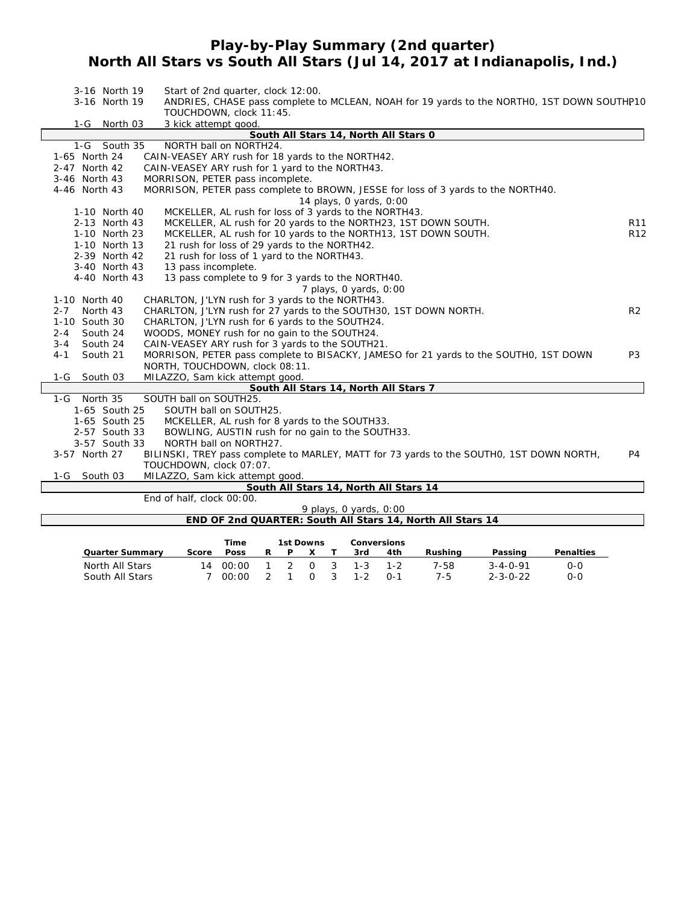## **Play-by-Play Summary (2nd quarter) North All Stars vs South All Stars (Jul 14, 2017 at Indianapolis, Ind.)**

| 3-16 North 19                         | Start of 2nd quarter, clock 12:00.                                                         |                 |  |  |  |  |  |  |  |  |
|---------------------------------------|--------------------------------------------------------------------------------------------|-----------------|--|--|--|--|--|--|--|--|
| 3-16 North 19                         | ANDRIES, CHASE pass complete to MCLEAN, NOAH for 19 yards to the NORTHO, 1ST DOWN SOUTHP10 |                 |  |  |  |  |  |  |  |  |
|                                       | TOUCHDOWN, clock 11:45.                                                                    |                 |  |  |  |  |  |  |  |  |
| $1-G$<br>North 03                     | 3 kick attempt good.                                                                       |                 |  |  |  |  |  |  |  |  |
| South All Stars 14, North All Stars 0 |                                                                                            |                 |  |  |  |  |  |  |  |  |
| 1-G South 35                          | NORTH ball on NORTH24.                                                                     |                 |  |  |  |  |  |  |  |  |
| 1-65 North 24                         | CAIN-VEASEY ARY rush for 18 yards to the NORTH42.                                          |                 |  |  |  |  |  |  |  |  |
| 2-47 North 42                         | CAIN-VEASEY ARY rush for 1 yard to the NORTH43.                                            |                 |  |  |  |  |  |  |  |  |
| 3-46 North 43                         | MORRISON, PETER pass incomplete.                                                           |                 |  |  |  |  |  |  |  |  |
| 4-46 North 43                         | MORRISON, PETER pass complete to BROWN, JESSE for loss of 3 yards to the NORTH40.          |                 |  |  |  |  |  |  |  |  |
|                                       | 14 plays, 0 yards, 0:00                                                                    |                 |  |  |  |  |  |  |  |  |
| 1-10 North 40                         | MCKELLER, AL rush for loss of 3 yards to the NORTH43.                                      |                 |  |  |  |  |  |  |  |  |
| 2-13 North 43                         | MCKELLER, AL rush for 20 yards to the NORTH23, 1ST DOWN SOUTH.                             | R <sub>11</sub> |  |  |  |  |  |  |  |  |
| 1-10 North 23                         | MCKELLER, AL rush for 10 yards to the NORTH13, 1ST DOWN SOUTH.                             | R <sub>12</sub> |  |  |  |  |  |  |  |  |
| 1-10 North 13                         | 21 rush for loss of 29 yards to the NORTH42.                                               |                 |  |  |  |  |  |  |  |  |
| 2-39 North 42                         | 21 rush for loss of 1 yard to the NORTH43.                                                 |                 |  |  |  |  |  |  |  |  |
| 3-40 North 43                         | 13 pass incomplete.                                                                        |                 |  |  |  |  |  |  |  |  |
| 4-40 North 43                         | 13 pass complete to 9 for 3 yards to the NORTH40.                                          |                 |  |  |  |  |  |  |  |  |
|                                       | 7 plays, 0 yards, 0:00                                                                     |                 |  |  |  |  |  |  |  |  |
| 1-10 North 40                         | CHARLTON, J'LYN rush for 3 yards to the NORTH43.                                           |                 |  |  |  |  |  |  |  |  |
| $2 - 7$<br>North 43                   | CHARLTON, J'LYN rush for 27 yards to the SOUTH30, 1ST DOWN NORTH.                          | R2              |  |  |  |  |  |  |  |  |
| 1-10 South 30                         | CHARLTON, J'LYN rush for 6 yards to the SOUTH24.                                           |                 |  |  |  |  |  |  |  |  |
| South 24<br>$2 - 4$                   | WOODS, MONEY rush for no gain to the SOUTH24.                                              |                 |  |  |  |  |  |  |  |  |
| $3 - 4$<br>South 24                   | CAIN-VEASEY ARY rush for 3 yards to the SOUTH21.                                           |                 |  |  |  |  |  |  |  |  |
| $4 - 1$<br>South 21                   | MORRISON, PETER pass complete to BISACKY, JAMESO for 21 yards to the SOUTHO, 1ST DOWN      | P3              |  |  |  |  |  |  |  |  |
|                                       | NORTH, TOUCHDOWN, clock 08:11.                                                             |                 |  |  |  |  |  |  |  |  |
| South 03<br>1-G                       | MILAZZO, Sam kick attempt good.                                                            |                 |  |  |  |  |  |  |  |  |
|                                       | South All Stars 14, North All Stars 7                                                      |                 |  |  |  |  |  |  |  |  |
| 1-G North 35                          | SOUTH ball on SOUTH25.                                                                     |                 |  |  |  |  |  |  |  |  |
| 1-65 South 25                         | SOUTH ball on SOUTH25.                                                                     |                 |  |  |  |  |  |  |  |  |
| 1-65 South 25                         | MCKELLER, AL rush for 8 yards to the SOUTH33.                                              |                 |  |  |  |  |  |  |  |  |
| 2-57 South 33                         | BOWLING, AUSTIN rush for no gain to the SOUTH33.                                           |                 |  |  |  |  |  |  |  |  |
| 3-57 South 33                         | NORTH ball on NORTH27.                                                                     |                 |  |  |  |  |  |  |  |  |
| 3-57 North 27                         | BILINSKI, TREY pass complete to MARLEY, MATT for 73 yards to the SOUTHO, 1ST DOWN NORTH,   | P4              |  |  |  |  |  |  |  |  |
|                                       | TOUCHDOWN, clock 07:07.                                                                    |                 |  |  |  |  |  |  |  |  |
| 1-G South 03                          | MILAZZO, Sam kick attempt good.                                                            |                 |  |  |  |  |  |  |  |  |
|                                       | South All Stars 14, North All Stars 14                                                     |                 |  |  |  |  |  |  |  |  |
|                                       | End of half, clock 00:00.                                                                  |                 |  |  |  |  |  |  |  |  |
|                                       | 9 plays, 0 yards, 0:00                                                                     |                 |  |  |  |  |  |  |  |  |
|                                       | END OF 2nd QUARTER: South All Stars 14, North All Stars 14                                 |                 |  |  |  |  |  |  |  |  |
|                                       | Time<br><b>1st Downs</b><br><b>Conversions</b>                                             |                 |  |  |  |  |  |  |  |  |

|                        |       | ı ıme       |    | TST DOWNS |             |                       | Conversions |         |                  |           |
|------------------------|-------|-------------|----|-----------|-------------|-----------------------|-------------|---------|------------------|-----------|
| <b>Quarter Summary</b> | Score | <b>Poss</b> | P. |           |             | 3rd                   | 4th         | Rushina | Passing          | Penalties |
| North All Stars        | 14    | 00:00       |    |           |             | $1 \t2 \t0 \t3 \t1-3$ |             | 7-58    | $3 - 4 - 0 - 91$ | 0-0       |
| South All Stars        |       | ∩∩∙∩∩       |    |           | $0 \quad 3$ | $1 - 2$               | $0 - 1$     | 7-5     | $2 - 3 - 0 - 22$ | $O-C$     |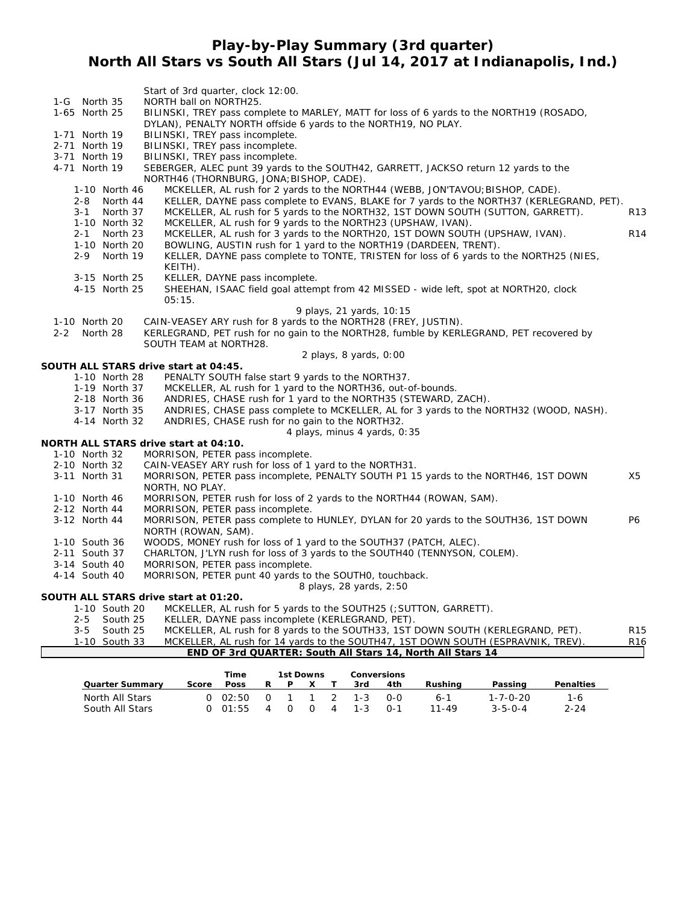## **Play-by-Play Summary (3rd quarter) North All Stars vs South All Stars (Jul 14, 2017 at Indianapolis, Ind.)**

|         |               |                                | Start of 3rd quarter, clock 12:00.                                                                                                                         |                 |
|---------|---------------|--------------------------------|------------------------------------------------------------------------------------------------------------------------------------------------------------|-----------------|
|         | 1-G North 35  |                                | NORTH ball on NORTH25.                                                                                                                                     |                 |
|         | 1-65 North 25 |                                | BILINSKI, TREY pass complete to MARLEY, MATT for loss of 6 yards to the NORTH19 (ROSADO,<br>DYLAN), PENALTY NORTH offside 6 yards to the NORTH19, NO PLAY. |                 |
|         | 1-71 North 19 |                                | BILINSKI, TREY pass incomplete.                                                                                                                            |                 |
|         | 2-71 North 19 |                                | BILINSKI, TREY pass incomplete.                                                                                                                            |                 |
|         | 3-71 North 19 |                                | BILINSKI, TREY pass incomplete.                                                                                                                            |                 |
|         | 4-71 North 19 |                                | SEBERGER, ALEC punt 39 yards to the SOUTH42, GARRETT, JACKSO return 12 yards to the                                                                        |                 |
|         |               |                                | NORTH46 (THORNBURG, JONA; BISHOP, CADE).                                                                                                                   |                 |
|         |               | 1-10 North 46                  | MCKELLER, AL rush for 2 yards to the NORTH44 (WEBB, JON'TAVOU; BISHOP, CADE).                                                                              |                 |
|         | 2-8           | North 44                       | KELLER, DAYNE pass complete to EVANS, BLAKE for 7 yards to the NORTH37 (KERLEGRAND, PET).                                                                  |                 |
|         | $3 - 1$       | North 37                       | MCKELLER, AL rush for 5 yards to the NORTH32, 1ST DOWN SOUTH (SUTTON, GARRETT).                                                                            | R <sub>13</sub> |
|         |               | 1-10 North 32                  | MCKELLER, AL rush for 9 yards to the NORTH23 (UPSHAW, IVAN).                                                                                               |                 |
|         |               | 2-1 North 23                   | MCKELLER, AL rush for 3 yards to the NORTH20, 1ST DOWN SOUTH (UPSHAW, IVAN).                                                                               | R <sub>14</sub> |
|         | $2 - 9$       | 1-10 North 20<br>North 19      | BOWLING, AUSTIN rush for 1 yard to the NORTH19 (DARDEEN, TRENT).                                                                                           |                 |
|         |               |                                | KELLER, DAYNE pass complete to TONTE, TRISTEN for loss of 6 yards to the NORTH25 (NIES,<br>KEITH).                                                         |                 |
|         |               | 3-15 North 25                  | KELLER, DAYNE pass incomplete.                                                                                                                             |                 |
|         |               | 4-15 North 25                  | SHEEHAN, ISAAC field goal attempt from 42 MISSED - wide left, spot at NORTH20, clock                                                                       |                 |
|         |               |                                | 05:15.                                                                                                                                                     |                 |
|         |               |                                | 9 plays, 21 yards, 10:15                                                                                                                                   |                 |
|         | 1-10 North 20 |                                | CAIN-VEASEY ARY rush for 8 yards to the NORTH28 (FREY, JUSTIN).                                                                                            |                 |
| $2 - 2$ | North 28      |                                | KERLEGRAND, PET rush for no gain to the NORTH28, fumble by KERLEGRAND, PET recovered by                                                                    |                 |
|         |               |                                | SOUTH TEAM at NORTH28.                                                                                                                                     |                 |
|         |               |                                | 2 plays, 8 yards, 0:00                                                                                                                                     |                 |
|         |               |                                | SOUTH ALL STARS drive start at 04:45.                                                                                                                      |                 |
|         |               | 1-10 North 28<br>1-19 North 37 | PENALTY SOUTH false start 9 yards to the NORTH37.<br>MCKELLER, AL rush for 1 yard to the NORTH36, out-of-bounds.                                           |                 |
|         |               | 2-18 North 36                  | ANDRIES, CHASE rush for 1 yard to the NORTH35 (STEWARD, ZACH).                                                                                             |                 |
|         |               | 3-17 North 35                  | ANDRIES, CHASE pass complete to MCKELLER, AL for 3 yards to the NORTH32 (WOOD, NASH).                                                                      |                 |
|         |               | 4-14 North 32                  | ANDRIES, CHASE rush for no gain to the NORTH32.                                                                                                            |                 |
|         |               |                                | 4 plays, minus 4 yards, 0:35                                                                                                                               |                 |
|         |               |                                | NORTH ALL STARS drive start at 04:10.                                                                                                                      |                 |
|         | 1-10 North 32 |                                | MORRISON, PETER pass incomplete.                                                                                                                           |                 |
|         | 2-10 North 32 |                                | CAIN-VEASEY ARY rush for loss of 1 yard to the NORTH31.                                                                                                    |                 |
|         | 3-11 North 31 |                                | MORRISON, PETER pass incomplete, PENALTY SOUTH P1 15 yards to the NORTH46, 1ST DOWN                                                                        | X5              |
|         |               |                                | NORTH, NO PLAY.                                                                                                                                            |                 |
|         | 1-10 North 46 |                                | MORRISON, PETER rush for loss of 2 yards to the NORTH44 (ROWAN, SAM).                                                                                      |                 |
|         | 2-12 North 44 |                                | MORRISON, PETER pass incomplete.                                                                                                                           |                 |
|         | 3-12 North 44 |                                | MORRISON, PETER pass complete to HUNLEY, DYLAN for 20 yards to the SOUTH36, 1ST DOWN<br>NORTH (ROWAN, SAM).                                                | P6              |
|         | 1-10 South 36 |                                | WOODS, MONEY rush for loss of 1 yard to the SOUTH37 (PATCH, ALEC).                                                                                         |                 |
|         | 2-11 South 37 |                                | CHARLTON, J'LYN rush for loss of 3 yards to the SOUTH40 (TENNYSON, COLEM).                                                                                 |                 |
|         | 3-14 South 40 |                                | MORRISON, PETER pass incomplete.                                                                                                                           |                 |
|         | 4-14 South 40 |                                | MORRISON, PETER punt 40 yards to the SOUTHO, touchback.                                                                                                    |                 |
|         |               |                                | 8 plays, 28 yards, 2:50                                                                                                                                    |                 |
|         |               | 1-10 South 20                  | SOUTH ALL STARS drive start at 01:20.<br>MCKELLER, AL rush for 5 yards to the SOUTH25 (; SUTTON, GARRETT).                                                 |                 |
|         | 2-5           | South 25                       | KELLER, DAYNE pass incomplete (KERLEGRAND, PET).                                                                                                           |                 |

#### 3-5 South 25 MCKELLER, AL rush for 8 yards to the SOUTH33, 1ST DOWN SOUTH (KERLEGRAND, PET). R15 1-10 South 33 MCKELLER, AL rush for 14 yards to the SOUTH47, 1ST DOWN SOUTH (ESPRAVNIK, TREV). R16 **END OF 3rd QUARTER: South All Stars 14, North All Stars 14**

|                        |       | Time        |     | 1st Downs    |     |   | Conversions |         |         |                  |                  |
|------------------------|-------|-------------|-----|--------------|-----|---|-------------|---------|---------|------------------|------------------|
| <b>Quarter Summary</b> | Score | <b>Poss</b> | R   |              |     |   | 3rd         | 4th     | Rushina | Passing          | <b>Penalties</b> |
| North All Stars        |       | 0.02:50     | - റ |              | 1 1 |   | 2 1-3       | റ-റ     | 6-1     | $1 - 7 - 0 - 20$ | 1-6              |
| South All Stars        |       | 0.01:55     | 4   | <sup>o</sup> | - 0 | 4 | $1 - 3$     | $0 - 1$ | 11-49   | $3 - 5 - 0 - 4$  | $2 - 24$         |